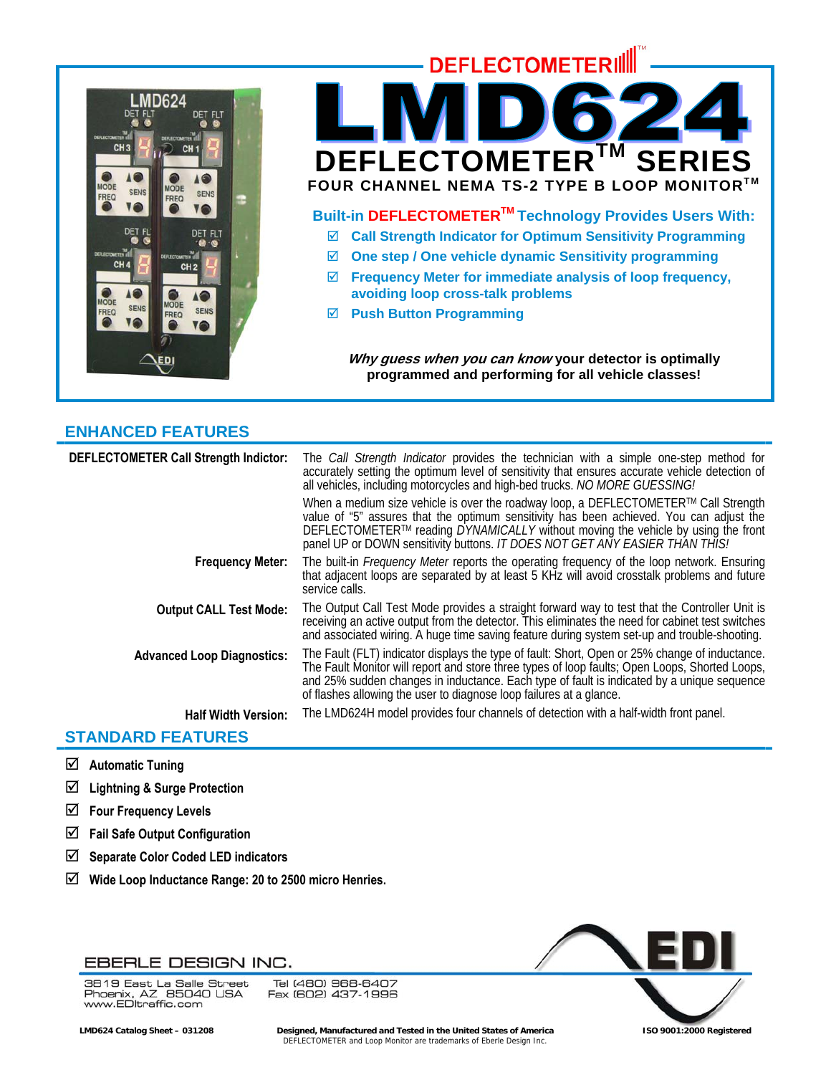

# **DEFLECTOMETERIL DEFLECTOMETER™ SERI FOUR CHANNEL NEMA TS-2 TYPE B LOOP MONITOR™ Built-in DEFLECTOMETERTM Technology Provides Users With:**  ; **Call Strength Indicator for Optimum Sensitivity Programming**  ; **One step / One vehicle dynamic Sensitivity programming**  ; **Frequency Meter for immediate analysis of loop frequency, avoiding loop cross-talk problems**  ; **Push Button Programming**

**Why guess when you can know your detector is optimally programmed and performing for all vehicle classes!** 

# **ENHANCED FEATURES**

| DEFLECTOMETER Call Strength Indictor: | The <i>Call Strength Indicator</i> provides the technician with a simple one-step method for<br>accurately setting the optimum level of sensitivity that ensures accurate vehicle detection of<br>all vehicles, including motorcycles and high-bed trucks. NO MORE GUESSING!                                                                                          |
|---------------------------------------|-----------------------------------------------------------------------------------------------------------------------------------------------------------------------------------------------------------------------------------------------------------------------------------------------------------------------------------------------------------------------|
|                                       | When a medium size vehicle is over the roadway loop, a DEFLECTOMETER™ Call Strength<br>value of "5" assures that the optimum sensitivity has been achieved. You can adjust the<br>DEFLECTOMETER™ reading DYNAMICALLY without moving the vehicle by using the front<br>panel UP or DOWN sensitivity buttons. IT DOES NOT GET ANY EASIER THAN THIS!                     |
| <b>Frequency Meter:</b>               | The built-in Frequency Meter reports the operating frequency of the loop network. Ensuring<br>that adjacent loops are separated by at least 5 KHz will avoid crosstalk problems and future<br>service calls.                                                                                                                                                          |
| <b>Output CALL Test Mode:</b>         | The Output Call Test Mode provides a straight forward way to test that the Controller Unit is<br>receiving an active output from the detector. This eliminates the need for cabinet test switches<br>and associated wiring. A huge time saving feature during system set-up and trouble-shooting.                                                                     |
| <b>Advanced Loop Diagnostics:</b>     | The Fault (FLT) indicator displays the type of fault: Short, Open or 25% change of inductance.<br>The Fault Monitor will report and store three types of loop faults; Open Loops, Shorted Loops,<br>and 25% sudden changes in inductance. Each type of fault is indicated by a unique sequence<br>of flashes allowing the user to diagnose loop failures at a glance. |
| <b>Half Width Version:</b>            | The LMD624H model provides four channels of detection with a half-width front panel.                                                                                                                                                                                                                                                                                  |

# **STANDARD FEATURES**

- ; **Automatic Tuning**
- ; **Lightning & Surge Protection**
- ; **Four Frequency Levels**
- ; **Fail Safe Output Configuration**
- ; **Separate Color Coded LED indicators**
- ; **Wide Loop Inductance Range: 20 to 2500 micro Henries.**



3819 East La Salle Street So To East La Salle Street<br>Phoenix, AZ 85040 USA<br>www.EDltraffic.com

Tel (480) 968-6407 Fax (602) 437-1996



 **LMD624 Catalog Sheet – 031208 Designed, Manufactured and Tested in the United States of America ISO 9001:2000 Registered**  DEFLECTOMETER and Loop Monitor are trademarks of Eberle Design Inc.